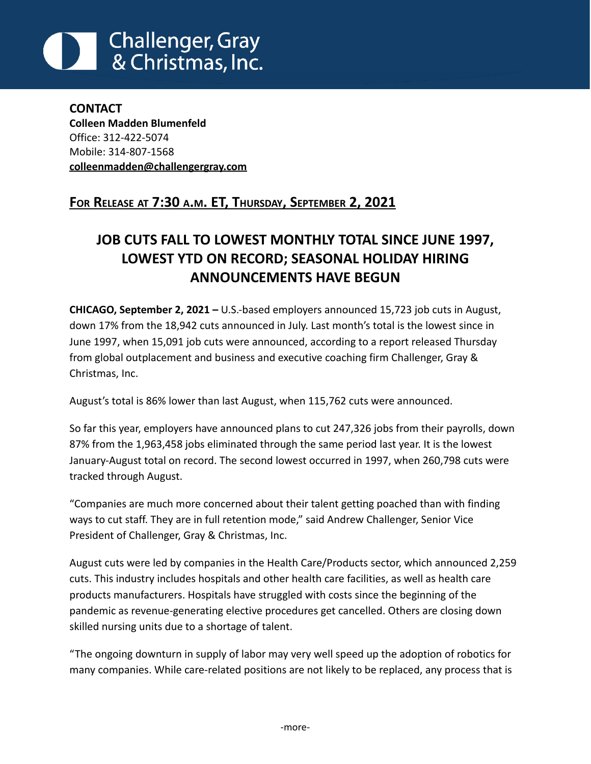# **Challenger, Gray** & Christmas, Inc.

**CONTACT Colleen Madden Blumenfeld** Office: 312-422-5074 Mobile: 314-807-1568 **[colleenmadden@challengergray.com](mailto:colleenmadden@challengergray.com)**

# **FOR RELEASE AT 7:30 A.M. ET, THURSDAY, SEPTEMBER 2, 2021**

# **JOB CUTS FALL TO LOWEST MONTHLY TOTAL SINCE JUNE 1997, LOWEST YTD ON RECORD; SEASONAL HOLIDAY HIRING ANNOUNCEMENTS HAVE BEGUN**

**CHICAGO, September 2, 2021 –** U.S.-based employers announced 15,723 job cuts in August, down 17% from the 18,942 cuts announced in July. Last month's total is the lowest since in June 1997, when 15,091 job cuts were announced, according to a report released Thursday from global outplacement and business and executive coaching firm Challenger, Gray & Christmas, Inc.

August's total is 86% lower than last August, when 115,762 cuts were announced.

So far this year, employers have announced plans to cut 247,326 jobs from their payrolls, down 87% from the 1,963,458 jobs eliminated through the same period last year. It is the lowest January-August total on record. The second lowest occurred in 1997, when 260,798 cuts were tracked through August.

"Companies are much more concerned about their talent getting poached than with finding ways to cut staff. They are in full retention mode," said Andrew Challenger, Senior Vice President of Challenger, Gray & Christmas, Inc.

August cuts were led by companies in the Health Care/Products sector, which announced 2,259 cuts. This industry includes hospitals and other health care facilities, as well as health care products manufacturers. Hospitals have struggled with costs since the beginning of the pandemic as revenue-generating elective procedures get cancelled. Others are closing down skilled nursing units due to a shortage of talent.

"The ongoing downturn in supply of labor may very well speed up the adoption of robotics for many companies. While care-related positions are not likely to be replaced, any process that is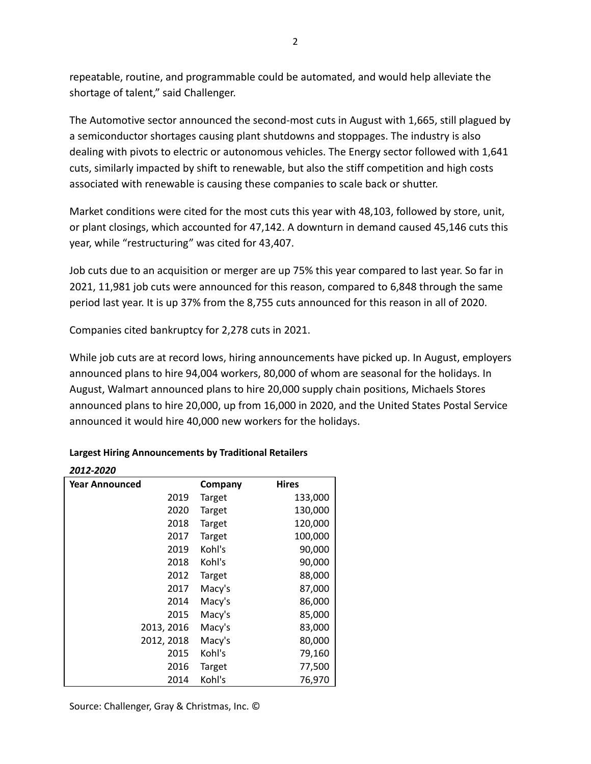repeatable, routine, and programmable could be automated, and would help alleviate the shortage of talent," said Challenger.

The Automotive sector announced the second-most cuts in August with 1,665, still plagued by a semiconductor shortages causing plant shutdowns and stoppages. The industry is also dealing with pivots to electric or autonomous vehicles. The Energy sector followed with 1,641 cuts, similarly impacted by shift to renewable, but also the stiff competition and high costs associated with renewable is causing these companies to scale back or shutter.

Market conditions were cited for the most cuts this year with 48,103, followed by store, unit, or plant closings, which accounted for 47,142. A downturn in demand caused 45,146 cuts this year, while "restructuring" was cited for 43,407.

Job cuts due to an acquisition or merger are up 75% this year compared to last year. So far in 2021, 11,981 job cuts were announced for this reason, compared to 6,848 through the same period last year. It is up 37% from the 8,755 cuts announced for this reason in all of 2020.

Companies cited bankruptcy for 2,278 cuts in 2021.

While job cuts are at record lows, hiring announcements have picked up. In August, employers announced plans to hire 94,004 workers, 80,000 of whom are seasonal for the holidays. In August, Walmart announced plans to hire 20,000 supply chain positions, Michaels Stores announced plans to hire 20,000, up from 16,000 in 2020, and the United States Postal Service announced it would hire 40,000 new workers for the holidays.

| 2012-2020             |               |              |
|-----------------------|---------------|--------------|
| <b>Year Announced</b> | Company       | <b>Hires</b> |
| 2019                  | <b>Target</b> | 133,000      |
| 2020                  | <b>Target</b> | 130,000      |
| 2018                  | <b>Target</b> | 120,000      |
| 2017                  | <b>Target</b> | 100,000      |
| 2019                  | Kohl's        | 90,000       |
| 2018                  | Kohl's        | 90,000       |
| 2012                  | <b>Target</b> | 88,000       |
| 2017                  | Macy's        | 87,000       |
| 2014                  | Macy's        | 86,000       |
| 2015                  | Macy's        | 85,000       |
| 2013, 2016            | Macy's        | 83,000       |
| 2012, 2018            | Macy's        | 80,000       |
| 2015                  | Kohl's        | 79,160       |
| 2016                  | <b>Target</b> | 77,500       |
| 2014                  | Kohl's        | 76,970       |

### **Largest Hiring Announcements by Traditional Retailers**

*2012-2020*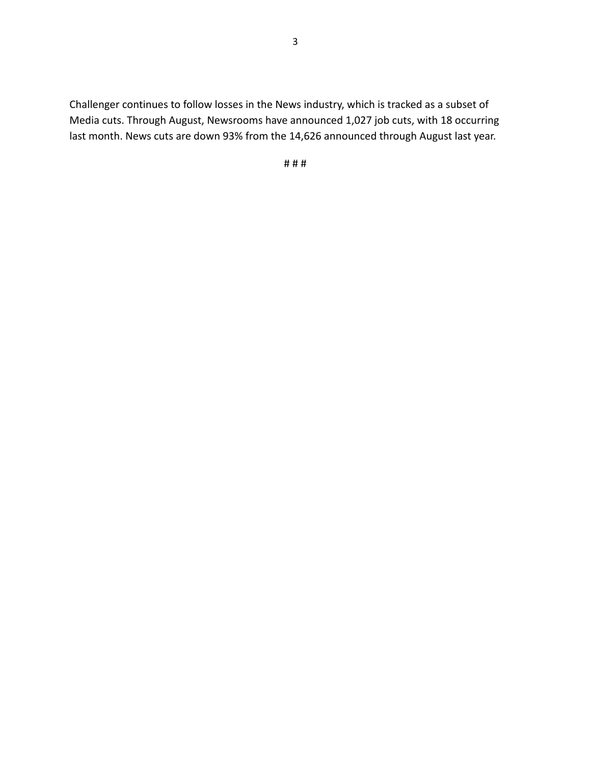Challenger continues to follow losses in the News industry, which is tracked as a subset of Media cuts. Through August, Newsrooms have announced 1,027 job cuts, with 18 occurring last month. News cuts are down 93% from the 14,626 announced through August last year.

# # #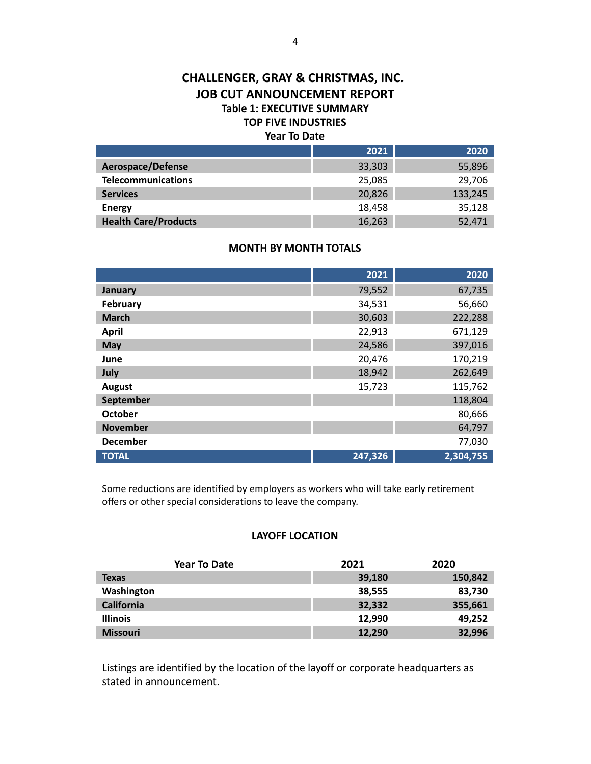# **CHALLENGER, GRAY & CHRISTMAS, INC. JOB CUT ANNOUNCEMENT REPORT Table 1: EXECUTIVE SUMMARY TOP FIVE INDUSTRIES**

### **Year To Date**

|                             | 2021   | 2020    |
|-----------------------------|--------|---------|
| Aerospace/Defense           | 33,303 | 55,896  |
| <b>Telecommunications</b>   | 25,085 | 29,706  |
| <b>Services</b>             | 20,826 | 133,245 |
| <b>Energy</b>               | 18.458 | 35,128  |
| <b>Health Care/Products</b> | 16,263 | 52,471  |

#### **MONTH BY MONTH TOTALS**

|                 | 2021    | 2020      |
|-----------------|---------|-----------|
| <b>January</b>  | 79,552  | 67,735    |
| February        | 34,531  | 56,660    |
| <b>March</b>    | 30,603  | 222,288   |
| <b>April</b>    | 22,913  | 671,129   |
| <b>May</b>      | 24,586  | 397,016   |
| June            | 20,476  | 170,219   |
| July            | 18,942  | 262,649   |
| <b>August</b>   | 15,723  | 115,762   |
| September       |         | 118,804   |
| <b>October</b>  |         | 80,666    |
| <b>November</b> |         | 64,797    |
| <b>December</b> |         | 77,030    |
| <b>TOTAL</b>    | 247,326 | 2,304,755 |

Some reductions are identified by employers as workers who will take early retirement offers or other special considerations to leave the company.

#### **LAYOFF LOCATION**

| <b>Year To Date</b> | 2021   | 2020    |
|---------------------|--------|---------|
| <b>Texas</b>        | 39,180 | 150,842 |
| Washington          | 38,555 | 83,730  |
| <b>California</b>   | 32,332 | 355,661 |
| <b>Illinois</b>     | 12,990 | 49,252  |
| <b>Missouri</b>     | 12,290 | 32,996  |

Listings are identified by the location of the layoff or corporate headquarters as stated in announcement.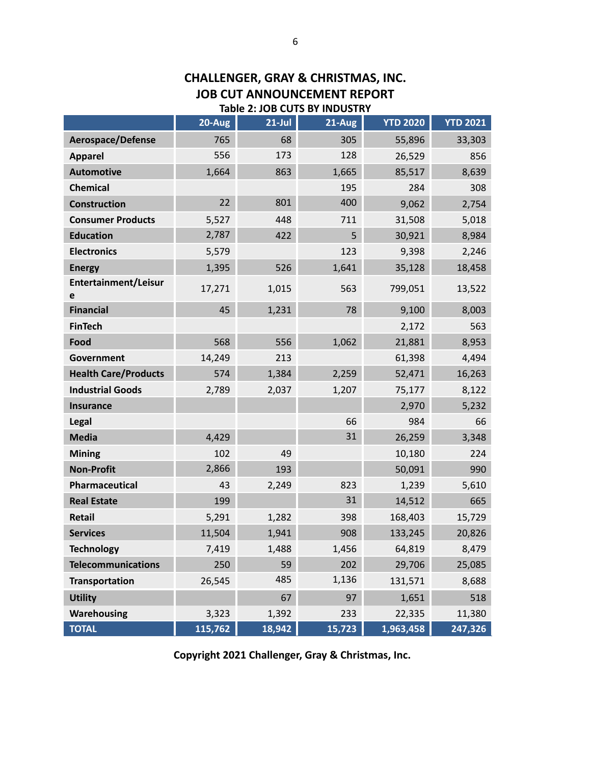|                             | 20-Aug  | $21$ -Jul | 21-Aug | <b>YTD 2020</b> | <b>YTD 2021</b> |
|-----------------------------|---------|-----------|--------|-----------------|-----------------|
| Aerospace/Defense           | 765     | 68        | 305    | 55,896          | 33,303          |
| <b>Apparel</b>              | 556     | 173       | 128    | 26,529          | 856             |
| <b>Automotive</b>           | 1,664   | 863       | 1,665  | 85,517          | 8,639           |
| <b>Chemical</b>             |         |           | 195    | 284             | 308             |
| <b>Construction</b>         | 22      | 801       | 400    | 9,062           | 2,754           |
| <b>Consumer Products</b>    | 5,527   | 448       | 711    | 31,508          | 5,018           |
| <b>Education</b>            | 2,787   | 422       | 5      | 30,921          | 8,984           |
| <b>Electronics</b>          | 5,579   |           | 123    | 9,398           | 2,246           |
| <b>Energy</b>               | 1,395   | 526       | 1,641  | 35,128          | 18,458          |
| Entertainment/Leisur<br>e   | 17,271  | 1,015     | 563    | 799,051         | 13,522          |
| <b>Financial</b>            | 45      | 1,231     | 78     | 9,100           | 8,003           |
| <b>FinTech</b>              |         |           |        | 2,172           | 563             |
| Food                        | 568     | 556       | 1,062  | 21,881          | 8,953           |
| Government                  | 14,249  | 213       |        | 61,398          | 4,494           |
| <b>Health Care/Products</b> | 574     | 1,384     | 2,259  | 52,471          | 16,263          |
| <b>Industrial Goods</b>     | 2,789   | 2,037     | 1,207  | 75,177          | 8,122           |
| <b>Insurance</b>            |         |           |        | 2,970           | 5,232           |
| Legal                       |         |           | 66     | 984             | 66              |
| <b>Media</b>                | 4,429   |           | 31     | 26,259          | 3,348           |
| <b>Mining</b>               | 102     | 49        |        | 10,180          | 224             |
| <b>Non-Profit</b>           | 2,866   | 193       |        | 50,091          | 990             |
| Pharmaceutical              | 43      | 2,249     | 823    | 1,239           | 5,610           |
| <b>Real Estate</b>          | 199     |           | 31     | 14,512          | 665             |
| Retail                      | 5,291   | 1,282     | 398    | 168,403         | 15,729          |
| <b>Services</b>             | 11,504  | 1,941     | 908    | 133,245         | 20,826          |
| <b>Technology</b>           | 7,419   | 1,488     | 1,456  | 64,819          | 8,479           |
| <b>Telecommunications</b>   | 250     | 59        | 202    | 29,706          | 25,085          |
| <b>Transportation</b>       | 26,545  | 485       | 1,136  | 131,571         | 8,688           |
| <b>Utility</b>              |         | 67        | 97     | 1,651           | 518             |
| <b>Warehousing</b>          | 3,323   | 1,392     | 233    | 22,335          | 11,380          |
| <b>TOTAL</b>                | 115,762 | 18,942    | 15,723 | 1,963,458       | 247,326         |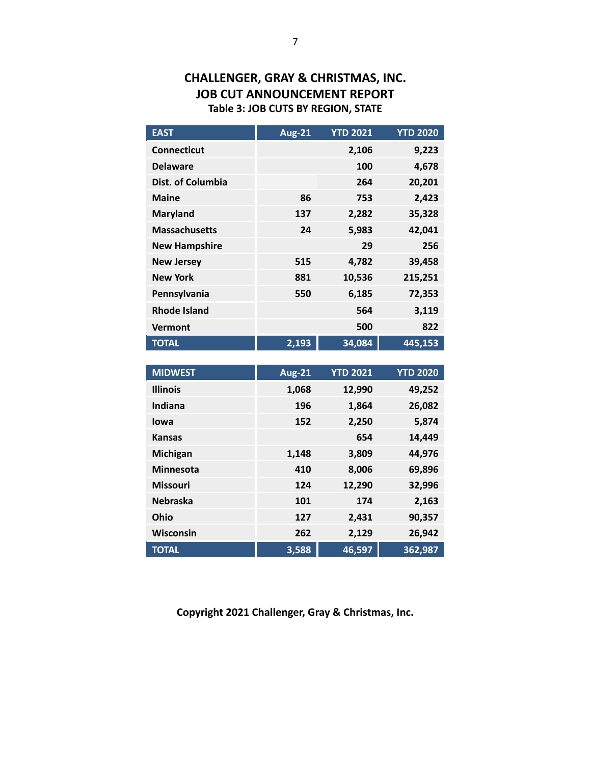# **CHALLENGER, GRAY & CHRISTMAS, INC. JOB CUT ANNOUNCEMENT REPORT Table 3: JOB CUTS BY REGION, STATE**

| <b>EAST</b>          | <b>Aug-21</b> | <b>YTD 2021</b> | <b>YTD 2020</b> |
|----------------------|---------------|-----------------|-----------------|
| <b>Connecticut</b>   |               | 2,106           | 9,223           |
| <b>Delaware</b>      |               | 100             | 4,678           |
| Dist. of Columbia    |               | 264             | 20,201          |
| <b>Maine</b>         | 86            | 753             | 2,423           |
| <b>Maryland</b>      | 137           | 2,282           | 35,328          |
| <b>Massachusetts</b> | 24            | 5,983           | 42,041          |
| <b>New Hampshire</b> |               | 29              | 256             |
| <b>New Jersey</b>    | 515           | 4,782           | 39,458          |
| <b>New York</b>      | 881           | 10,536          | 215,251         |
| Pennsylvania         | 550           | 6,185           | 72,353          |
| <b>Rhode Island</b>  |               | 564             | 3,119           |
| Vermont              |               | 500             | 822             |
| <b>TOTAL</b>         | 2,193         | 34,084          | 445,153         |

| <b>MIDWEST</b>   | <b>Aug-21</b> | <b>YTD 2021</b> | <b>YTD 2020</b> |
|------------------|---------------|-----------------|-----------------|
| <b>Illinois</b>  | 1,068         | 12,990          | 49,252          |
| Indiana          | 196           | 1,864           | 26,082          |
| lowa             | 152           | 2,250           | 5,874           |
| <b>Kansas</b>    |               | 654             | 14,449          |
| Michigan         | 1,148         | 3,809           | 44,976          |
| <b>Minnesota</b> | 410           | 8,006           | 69,896          |
| <b>Missouri</b>  | 124           | 12,290          | 32,996          |
| <b>Nebraska</b>  | 101           | 174             | 2,163           |
| Ohio             | 127           | 2,431           | 90,357          |
| Wisconsin        | 262           | 2,129           | 26,942          |
| <b>TOTAL</b>     | 3,588         | 46,597          | 362,987         |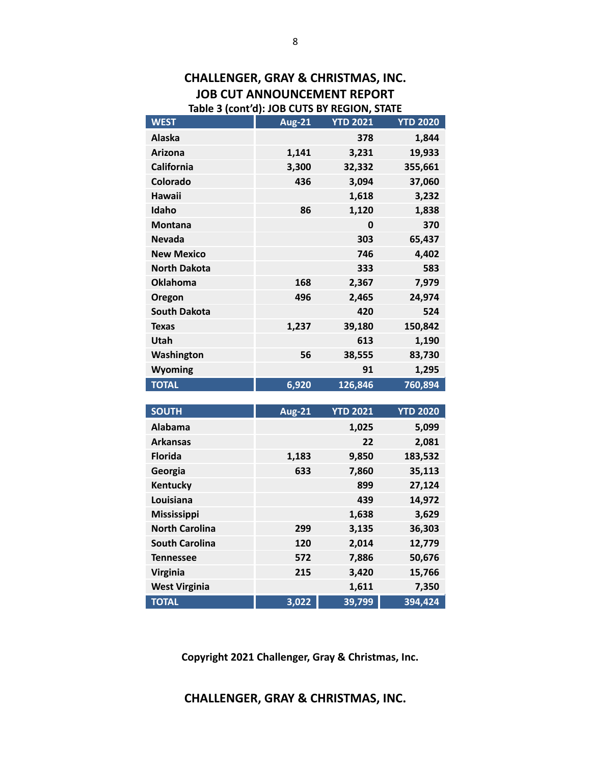## **CHALLENGER, GRAY & CHRISTMAS, INC. JOB CUT ANNOUNCEMENT REPORT Table 3 (cont'd): JOB CUTS BY REGION, STATE**

| <b>WEST</b>         | <b>Aug-21</b> | <b>YTD 2021</b> | <b>YTD 2020</b> |
|---------------------|---------------|-----------------|-----------------|
| <b>Alaska</b>       |               | 378             | 1,844           |
| <b>Arizona</b>      | 1,141         | 3,231           | 19,933          |
| <b>California</b>   | 3,300         | 32,332          | 355,661         |
| Colorado            | 436           | 3,094           | 37,060          |
| Hawaii              |               | 1,618           | 3,232           |
| Idaho               | 86            | 1,120           | 1,838           |
| <b>Montana</b>      |               | 0               | 370             |
| <b>Nevada</b>       |               | 303             | 65,437          |
| <b>New Mexico</b>   |               | 746             | 4,402           |
| <b>North Dakota</b> |               | 333             | 583             |
| <b>Oklahoma</b>     | 168           | 2,367           | 7,979           |
| Oregon              | 496           | 2,465           | 24,974          |
| <b>South Dakota</b> |               | 420             | 524             |
| <b>Texas</b>        | 1,237         | 39,180          | 150,842         |
| Utah                |               | 613             | 1,190           |
| Washington          | 56            | 38,555          | 83,730          |
| <b>Wyoming</b>      |               | 91              | 1,295           |
| <b>TOTAL</b>        | 6,920         | 126,846         | 760,894         |

| <b>SOUTH</b>          | <b>Aug-21</b> | <b>YTD 2021</b> | <b>YTD 2020</b> |
|-----------------------|---------------|-----------------|-----------------|
| <b>Alabama</b>        |               | 1,025           | 5,099           |
| <b>Arkansas</b>       |               | 22              | 2,081           |
| <b>Florida</b>        | 1,183         | 9,850           | 183,532         |
| Georgia               | 633           | 7,860           | 35,113          |
| Kentucky              |               | 899             | 27,124          |
| Louisiana             |               | 439             | 14,972          |
| <b>Mississippi</b>    |               | 1,638           | 3,629           |
| <b>North Carolina</b> | 299           | 3,135           | 36,303          |
| <b>South Carolina</b> | 120           | 2,014           | 12,779          |
| <b>Tennessee</b>      | 572           | 7,886           | 50,676          |
| <b>Virginia</b>       | 215           | 3,420           | 15,766          |
| <b>West Virginia</b>  |               | 1,611           | 7,350           |
| <b>TOTAL</b>          | 3,022         | 39,799          | 394,424         |

**Copyright 2021 Challenger, Gray & Christmas, Inc.**

**CHALLENGER, GRAY & CHRISTMAS, INC.**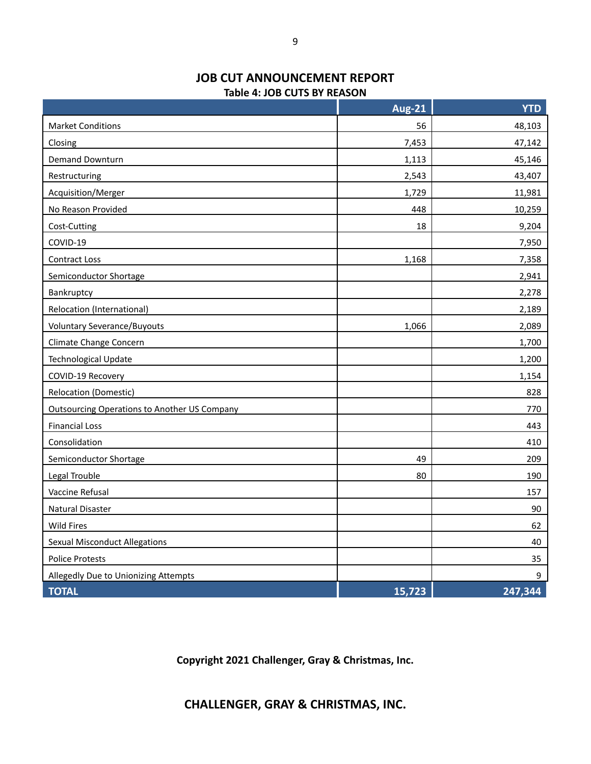#### **JOB CUT ANNOUNCEMENT REPORT Table 4: JOB CUTS BY REASON**

|                                                     | <b>Aug-21</b> | <b>YTD</b> |
|-----------------------------------------------------|---------------|------------|
| <b>Market Conditions</b>                            | 56            | 48,103     |
| Closing                                             | 7,453         | 47,142     |
| <b>Demand Downturn</b>                              | 1,113         | 45,146     |
| Restructuring                                       | 2,543         | 43,407     |
| <b>Acquisition/Merger</b>                           | 1,729         | 11,981     |
| No Reason Provided                                  | 448           | 10,259     |
| Cost-Cutting                                        | 18            | 9,204      |
| COVID-19                                            |               | 7,950      |
| <b>Contract Loss</b>                                | 1,168         | 7,358      |
| Semiconductor Shortage                              |               | 2,941      |
| Bankruptcy                                          |               | 2,278      |
| Relocation (International)                          |               | 2,189      |
| <b>Voluntary Severance/Buyouts</b>                  | 1,066         | 2,089      |
| Climate Change Concern                              |               | 1,700      |
| Technological Update                                |               | 1,200      |
| COVID-19 Recovery                                   |               | 1,154      |
| Relocation (Domestic)                               |               | 828        |
| <b>Outsourcing Operations to Another US Company</b> |               | 770        |
| <b>Financial Loss</b>                               |               | 443        |
| Consolidation                                       |               | 410        |
| Semiconductor Shortage                              | 49            | 209        |
| Legal Trouble                                       | 80            | 190        |
| Vaccine Refusal                                     |               | 157        |
| <b>Natural Disaster</b>                             |               | 90         |
| <b>Wild Fires</b>                                   |               | 62         |
| <b>Sexual Misconduct Allegations</b>                |               | 40         |
| <b>Police Protests</b>                              |               | 35         |
| Allegedly Due to Unionizing Attempts                |               | 9          |
| <b>TOTAL</b>                                        | 15,723        | 247,344    |

**Copyright 2021 Challenger, Gray & Christmas, Inc.**

**CHALLENGER, GRAY & CHRISTMAS, INC.**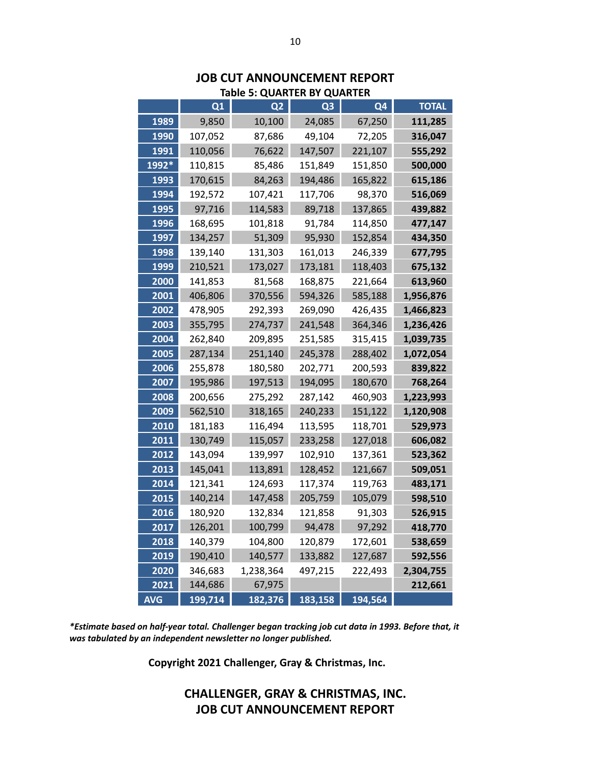|            |         | iable 5: QUARTER BY QUARTER |                |         |              |
|------------|---------|-----------------------------|----------------|---------|--------------|
|            | Q1      | Q <sub>2</sub>              | Q <sub>3</sub> | Q4      | <b>TOTAL</b> |
| 1989       | 9,850   | 10,100                      | 24,085         | 67,250  | 111,285      |
| 1990       | 107,052 | 87,686                      | 49,104         | 72,205  | 316,047      |
| 1991       | 110,056 | 76,622                      | 147,507        | 221,107 | 555,292      |
| 1992*      | 110,815 | 85,486                      | 151,849        | 151,850 | 500,000      |
| 1993       | 170,615 | 84,263                      | 194,486        | 165,822 | 615,186      |
| 1994       | 192,572 | 107,421                     | 117,706        | 98,370  | 516,069      |
| 1995       | 97,716  | 114,583                     | 89,718         | 137,865 | 439,882      |
| 1996       | 168,695 | 101,818                     | 91,784         | 114,850 | 477,147      |
| 1997       | 134,257 | 51,309                      | 95,930         | 152,854 | 434,350      |
| 1998       | 139,140 | 131,303                     | 161,013        | 246,339 | 677,795      |
| 1999       | 210,521 | 173,027                     | 173,181        | 118,403 | 675,132      |
| 2000       | 141,853 | 81,568                      | 168,875        | 221,664 | 613,960      |
| 2001       | 406,806 | 370,556                     | 594,326        | 585,188 | 1,956,876    |
| 2002       | 478,905 | 292,393                     | 269,090        | 426,435 | 1,466,823    |
| 2003       | 355,795 | 274,737                     | 241,548        | 364,346 | 1,236,426    |
| 2004       | 262,840 | 209,895                     | 251,585        | 315,415 | 1,039,735    |
| 2005       | 287,134 | 251,140                     | 245,378        | 288,402 | 1,072,054    |
| 2006       | 255,878 | 180,580                     | 202,771        | 200,593 | 839,822      |
| 2007       | 195,986 | 197,513                     | 194,095        | 180,670 | 768,264      |
| 2008       | 200,656 | 275,292                     | 287,142        | 460,903 | 1,223,993    |
| 2009       | 562,510 | 318,165                     | 240,233        | 151,122 | 1,120,908    |
| 2010       | 181,183 | 116,494                     | 113,595        | 118,701 | 529,973      |
| 2011       | 130,749 | 115,057                     | 233,258        | 127,018 | 606,082      |
| 2012       | 143,094 | 139,997                     | 102,910        | 137,361 | 523,362      |
| 2013       | 145,041 | 113,891                     | 128,452        | 121,667 | 509,051      |
| 2014       | 121,341 | 124,693                     | 117,374        | 119,763 | 483,171      |
| 2015       | 140,214 | 147,458                     | 205,759        | 105,079 | 598,510      |
| 2016       | 180,920 | 132,834                     | 121,858        | 91,303  | 526,915      |
| 2017       | 126,201 | 100,799                     | 94,478         | 97,292  | 418,770      |
| 2018       | 140,379 | 104,800                     | 120,879        | 172,601 | 538,659      |
| 2019       | 190,410 | 140,577                     | 133,882        | 127,687 | 592,556      |
| 2020       | 346,683 | 1,238,364                   | 497,215        | 222,493 | 2,304,755    |
| 2021       | 144,686 | 67,975                      |                |         | 212,661      |
| <b>AVG</b> | 199,714 | 182,376                     | 183,158        | 194,564 |              |

#### **JOB CUT ANNOUNCEMENT REPORT Table 5: QUARTER BY QUARTER**

*\*Estimate based on half-year total. Challenger began tracking job cut data in 1993. Before that, it was tabulated by an independent newsletter no longer published.*

**Copyright 2021 Challenger, Gray & Christmas, Inc.**

# **CHALLENGER, GRAY & CHRISTMAS, INC. JOB CUT ANNOUNCEMENT REPORT**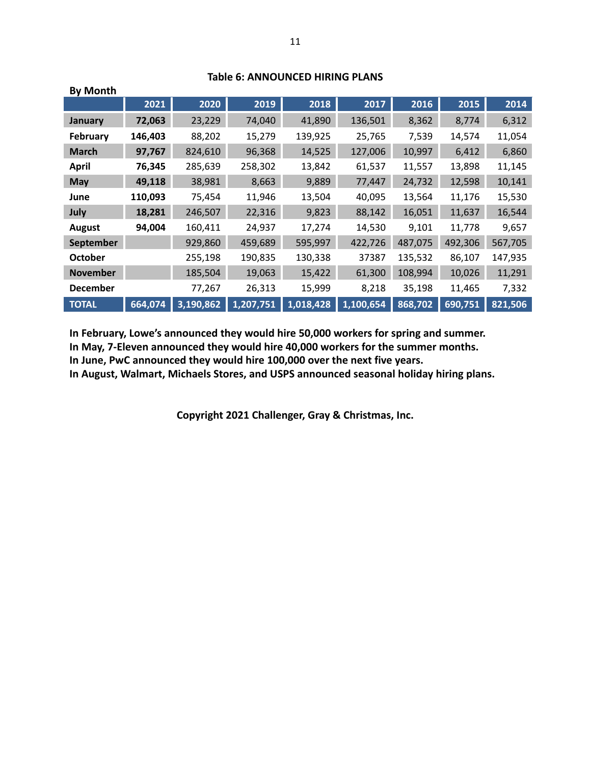| <b>By Month</b>  |         |           |           |           |           |         |         |         |
|------------------|---------|-----------|-----------|-----------|-----------|---------|---------|---------|
|                  | 2021    | 2020      | 2019      | 2018      | 2017      | 2016    | 2015    | 2014    |
| <b>January</b>   | 72,063  | 23,229    | 74,040    | 41,890    | 136,501   | 8,362   | 8,774   | 6,312   |
| February         | 146,403 | 88,202    | 15,279    | 139,925   | 25,765    | 7,539   | 14,574  | 11,054  |
| <b>March</b>     | 97,767  | 824,610   | 96,368    | 14,525    | 127,006   | 10,997  | 6,412   | 6,860   |
| <b>April</b>     | 76,345  | 285,639   | 258,302   | 13,842    | 61,537    | 11,557  | 13,898  | 11,145  |
| <b>May</b>       | 49,118  | 38,981    | 8,663     | 9,889     | 77,447    | 24,732  | 12,598  | 10,141  |
| June             | 110,093 | 75,454    | 11,946    | 13,504    | 40,095    | 13,564  | 11,176  | 15,530  |
| July             | 18,281  | 246,507   | 22,316    | 9,823     | 88,142    | 16,051  | 11,637  | 16,544  |
| <b>August</b>    | 94,004  | 160,411   | 24,937    | 17,274    | 14,530    | 9,101   | 11,778  | 9,657   |
| <b>September</b> |         | 929,860   | 459,689   | 595,997   | 422,726   | 487,075 | 492,306 | 567,705 |
| October          |         | 255,198   | 190,835   | 130,338   | 37387     | 135,532 | 86,107  | 147,935 |
| <b>November</b>  |         | 185,504   | 19,063    | 15,422    | 61,300    | 108,994 | 10,026  | 11,291  |
| <b>December</b>  |         | 77,267    | 26,313    | 15,999    | 8,218     | 35,198  | 11,465  | 7,332   |
| <b>TOTAL</b>     | 664,074 | 3,190,862 | 1,207,751 | 1,018,428 | 1,100,654 | 868,702 | 690,751 | 821,506 |

#### **Table 6: ANNOUNCED HIRING PLANS**

**In February, Lowe's announced they would hire 50,000 workers for spring and summer.**

**In May, 7-Eleven announced they would hire 40,000 workers for the summer months.**

**In June, PwC announced they would hire 100,000 over the next five years.**

**In August, Walmart, Michaels Stores, and USPS announced seasonal holiday hiring plans.**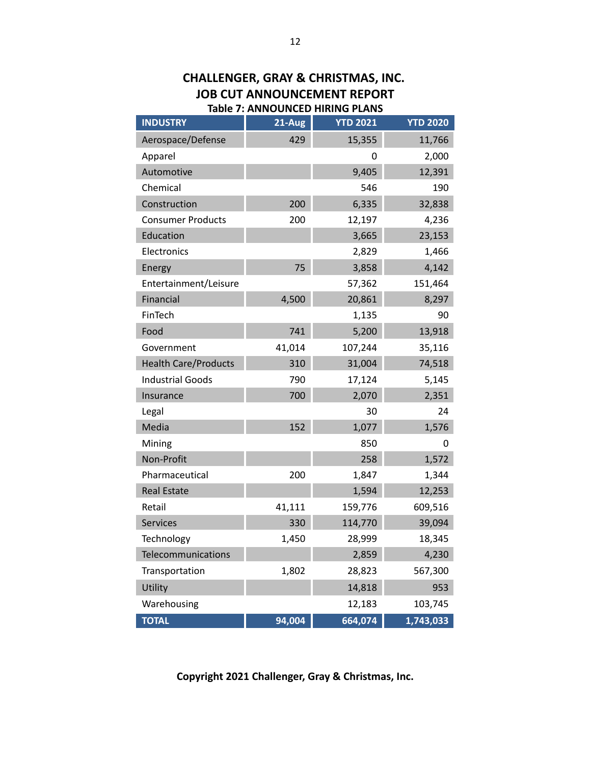| <b>Table 7: ANNOUNCED HIRING PLANS</b> |          |                 |                 |  |  |  |  |  |  |  |  |
|----------------------------------------|----------|-----------------|-----------------|--|--|--|--|--|--|--|--|
| <b>INDUSTRY</b>                        | $21-Aug$ | <b>YTD 2021</b> | <b>YTD 2020</b> |  |  |  |  |  |  |  |  |
| Aerospace/Defense                      | 429      | 15,355          | 11,766          |  |  |  |  |  |  |  |  |
| Apparel                                |          | 0               | 2,000           |  |  |  |  |  |  |  |  |
| Automotive                             |          | 9,405           | 12,391          |  |  |  |  |  |  |  |  |
| Chemical                               |          | 546             | 190             |  |  |  |  |  |  |  |  |
| Construction                           | 200      | 6,335           | 32,838          |  |  |  |  |  |  |  |  |
| <b>Consumer Products</b>               | 200      | 12,197          | 4,236           |  |  |  |  |  |  |  |  |
| Education                              |          | 3,665           | 23,153          |  |  |  |  |  |  |  |  |
| Electronics                            |          | 2,829           | 1,466           |  |  |  |  |  |  |  |  |
| Energy                                 | 75       | 3,858           | 4,142           |  |  |  |  |  |  |  |  |
| Entertainment/Leisure                  |          | 57,362          | 151,464         |  |  |  |  |  |  |  |  |
| Financial                              | 4,500    | 20,861          | 8,297           |  |  |  |  |  |  |  |  |
| FinTech                                |          | 1,135           | 90              |  |  |  |  |  |  |  |  |
| Food                                   | 741      | 5,200           | 13,918          |  |  |  |  |  |  |  |  |
| Government                             | 41,014   | 107,244         | 35,116          |  |  |  |  |  |  |  |  |
| <b>Health Care/Products</b>            | 310      | 31,004          | 74,518          |  |  |  |  |  |  |  |  |
| <b>Industrial Goods</b>                | 790      | 17,124          | 5,145           |  |  |  |  |  |  |  |  |
| Insurance                              | 700      | 2,070           | 2,351           |  |  |  |  |  |  |  |  |
| Legal                                  |          | 30              | 24              |  |  |  |  |  |  |  |  |
| Media                                  | 152      | 1,077           | 1,576           |  |  |  |  |  |  |  |  |
| Mining                                 |          | 850             | 0               |  |  |  |  |  |  |  |  |
| Non-Profit                             |          | 258             | 1,572           |  |  |  |  |  |  |  |  |
| Pharmaceutical                         | 200      | 1,847           | 1,344           |  |  |  |  |  |  |  |  |
| <b>Real Estate</b>                     |          | 1,594           | 12,253          |  |  |  |  |  |  |  |  |
| Retail                                 | 41,111   | 159,776         | 609,516         |  |  |  |  |  |  |  |  |
| Services                               | 330      | 114,770         | 39,094          |  |  |  |  |  |  |  |  |
| Technology                             | 1,450    | 28,999          | 18,345          |  |  |  |  |  |  |  |  |
| Telecommunications                     |          | 2,859           | 4,230           |  |  |  |  |  |  |  |  |
| Transportation                         | 1,802    | 28,823          | 567,300         |  |  |  |  |  |  |  |  |
| Utility                                |          | 14,818          | 953             |  |  |  |  |  |  |  |  |
| Warehousing                            |          | 12,183          | 103,745         |  |  |  |  |  |  |  |  |
| <b>TOTAL</b>                           | 94,004   | 664,074         | 1,743,033       |  |  |  |  |  |  |  |  |

# **CHALLENGER, GRAY & CHRISTMAS, INC. JOB CUT ANNOUNCEMENT REPORT**